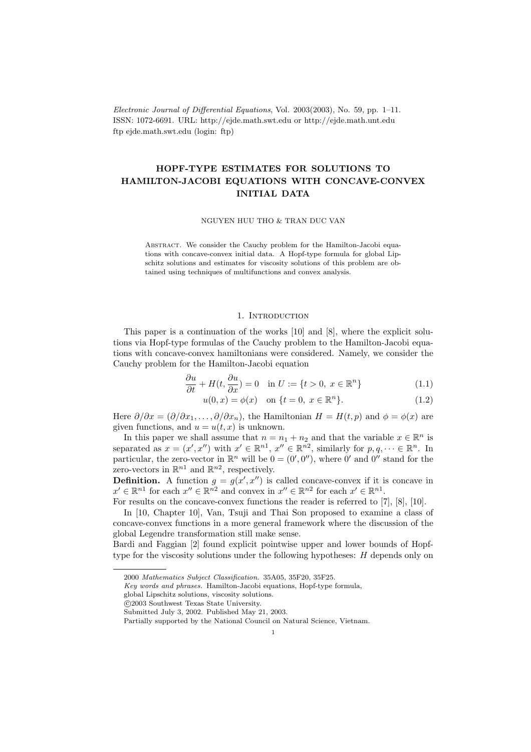Electronic Journal of Differential Equations, Vol. 2003(2003), No. 59, pp. 1–11. ISSN: 1072-6691. URL: http://ejde.math.swt.edu or http://ejde.math.unt.edu ftp ejde.math.swt.edu (login: ftp)

# HOPF-TYPE ESTIMATES FOR SOLUTIONS TO HAMILTON-JACOBI EQUATIONS WITH CONCAVE-CONVEX INITIAL DATA

NGUYEN HUU THO & TRAN DUC VAN

ABSTRACT. We consider the Cauchy problem for the Hamilton-Jacobi equations with concave-convex initial data. A Hopf-type formula for global Lipschitz solutions and estimates for viscosity solutions of this problem are obtained using techniques of multifunctions and convex analysis.

## 1. INTRODUCTION

This paper is a continuation of the works [10] and [8], where the explicit solutions via Hopf-type formulas of the Cauchy problem to the Hamilton-Jacobi equations with concave-convex hamiltonians were considered. Namely, we consider the Cauchy problem for the Hamilton-Jacobi equation

$$
\frac{\partial u}{\partial t} + H(t, \frac{\partial u}{\partial x}) = 0 \quad \text{in } U := \{t > 0, \ x \in \mathbb{R}^n\}
$$
 (1.1)

$$
u(0, x) = \phi(x) \quad \text{on } \{t = 0, \ x \in \mathbb{R}^n\}. \tag{1.2}
$$

Here  $\partial/\partial x = (\partial/\partial x_1, \ldots, \partial/\partial x_n)$ , the Hamiltonian  $H = H(t, p)$  and  $\phi = \phi(x)$  are given functions, and  $u = u(t, x)$  is unknown.

In this paper we shall assume that  $n = n_1 + n_2$  and that the variable  $x \in \mathbb{R}^n$  is separated as  $x = (x', x'')$  with  $x' \in \mathbb{R}^{n_1}$ ,  $x'' \in \mathbb{R}^{n_2}$ , similarly for  $p, q, \dots \in \mathbb{R}^n$ . In particular, the zero-vector in  $\mathbb{R}^n$  will be  $0 = (0', 0'')$ , where  $0'$  and  $0''$  stand for the zero-vectors in  $\mathbb{R}^{n_1}$  and  $\mathbb{R}^{n_2}$ , respectively.

**Definition.** A function  $g = g(x', x'')$  is called concave-convex if it is concave in  $x' \in \mathbb{R}^{n_1}$  for each  $x'' \in \mathbb{R}^{n_2}$  and convex in  $x'' \in \mathbb{R}^{n_2}$  for each  $x' \in \mathbb{R}^{n_1}$ .

For results on the concave-convex functions the reader is referred to [7], [8], [10].

In [10, Chapter 10], Van, Tsuji and Thai Son proposed to examine a class of concave-convex functions in a more general framework where the discussion of the global Legendre transformation still make sense.

Bardi and Faggian [2] found explicit pointwise upper and lower bounds of Hopftype for the viscosity solutions under the following hypotheses: H depends only on

<sup>2000</sup> Mathematics Subject Classification. 35A05, 35F20, 35F25.

Key words and phrases. Hamilton-Jacobi equations, Hopf-type formula,

global Lipschitz solutions, viscosity solutions.

c 2003 Southwest Texas State University.

Submitted July 3, 2002. Published May 21, 2003.

Partially supported by the National Council on Natural Science, Vietnam.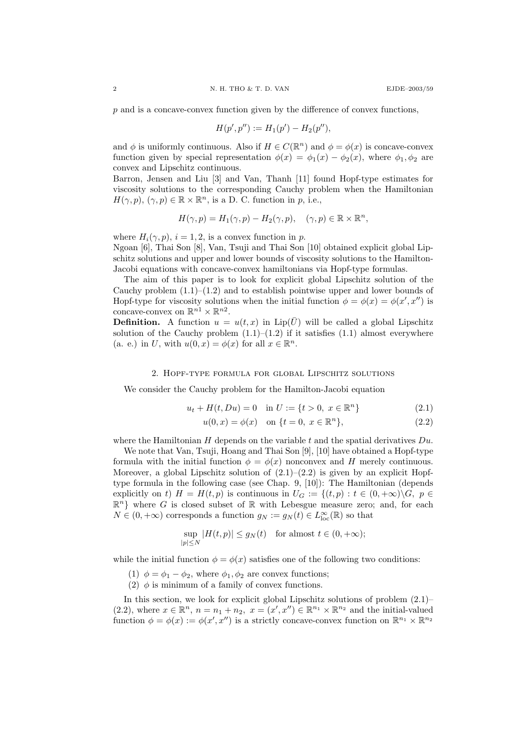p and is a concave-convex function given by the difference of convex functions,

$$
H(p',p'') := H_1(p') - H_2(p''),
$$

and  $\phi$  is uniformly continuous. Also if  $H \in C(\mathbb{R}^n)$  and  $\phi = \phi(x)$  is concave-convex function given by special representation  $\phi(x) = \phi_1(x) - \phi_2(x)$ , where  $\phi_1, \phi_2$  are convex and Lipschitz continuous.

Barron, Jensen and Liu [3] and Van, Thanh [11] found Hopf-type estimates for viscosity solutions to the corresponding Cauchy problem when the Hamiltonian  $H(\gamma, p), (\gamma, p) \in \mathbb{R} \times \mathbb{R}^n$ , is a D. C. function in p, i.e.,

$$
H(\gamma, p) = H_1(\gamma, p) - H_2(\gamma, p), \quad (\gamma, p) \in \mathbb{R} \times \mathbb{R}^n,
$$

where  $H_i(\gamma, p)$ ,  $i = 1, 2$ , is a convex function in p. Ngoan [6], Thai Son [8], Van, Tsuji and Thai Son [10] obtained explicit global Lipschitz solutions and upper and lower bounds of viscosity solutions to the Hamilton-Jacobi equations with concave-convex hamiltonians via Hopf-type formulas.

The aim of this paper is to look for explicit global Lipschitz solution of the Cauchy problem  $(1.1)$ – $(1.2)$  and to establish pointwise upper and lower bounds of Hopf-type for viscosity solutions when the initial function  $\phi = \phi(x) = \phi(x', x'')$  is concave-convex on  $\mathbb{R}^{n_1} \times \mathbb{R}^{n_2}$ .

**Definition.** A function  $u = u(t, x)$  in Lip( $\overline{U}$ ) will be called a global Lipschitz solution of the Cauchy problem  $(1.1)$ – $(1.2)$  if it satisfies  $(1.1)$  almost everywhere (a. e.) in U, with  $u(0, x) = \phi(x)$  for all  $x \in \mathbb{R}^n$ .

### 2. Hopf-type formula for global Lipschitz solutions

We consider the Cauchy problem for the Hamilton-Jacobi equation

$$
u_t + H(t, Du) = 0 \quad \text{in } U := \{ t > 0, \ x \in \mathbb{R}^n \}
$$
 (2.1)

$$
u(0, x) = \phi(x) \quad \text{on } \{t = 0, \ x \in \mathbb{R}^n\},\tag{2.2}
$$

where the Hamiltonian H depends on the variable t and the spatial derivatives  $Du$ .

We note that Van, Tsuji, Hoang and Thai Son [9], [10] have obtained a Hopf-type formula with the initial function  $\phi = \phi(x)$  nonconvex and H merely continuous. Moreover, a global Lipschitz solution of  $(2.1)$ – $(2.2)$  is given by an explicit Hopftype formula in the following case (see Chap. 9, [10]): The Hamiltonian (depends explicitly on t)  $H = H(t, p)$  is continuous in  $U_G := \{(t, p) : t \in (0, +\infty) \setminus G, p \in$  $\mathbb{R}^n$  where G is closed subset of R with Lebesgue measure zero; and, for each  $N \in (0, +\infty)$  corresponds a function  $g_N := g_N(t) \in L^{\infty}_{loc}(\mathbb{R})$  so that

$$
\sup_{|p| \le N} |H(t,p)| \le g_N(t) \quad \text{for almost } t \in (0,+\infty);
$$

while the initial function  $\phi = \phi(x)$  satisfies one of the following two conditions:

- (1)  $\phi = \phi_1 \phi_2$ , where  $\phi_1, \phi_2$  are convex functions;
- (2)  $\phi$  is minimum of a family of convex functions.

In this section, we look for explicit global Lipschitz solutions of problem  $(2.1)$ – (2.2), where  $x \in \mathbb{R}^n$ ,  $n = n_1 + n_2$ ,  $x = (x', x'') \in \mathbb{R}^{n_1} \times \mathbb{R}^{n_2}$  and the initial-valued function  $\phi = \phi(x) := \phi(x', x'')$  is a strictly concave-convex function on  $\mathbb{R}^{n_1} \times \mathbb{R}^{n_2}$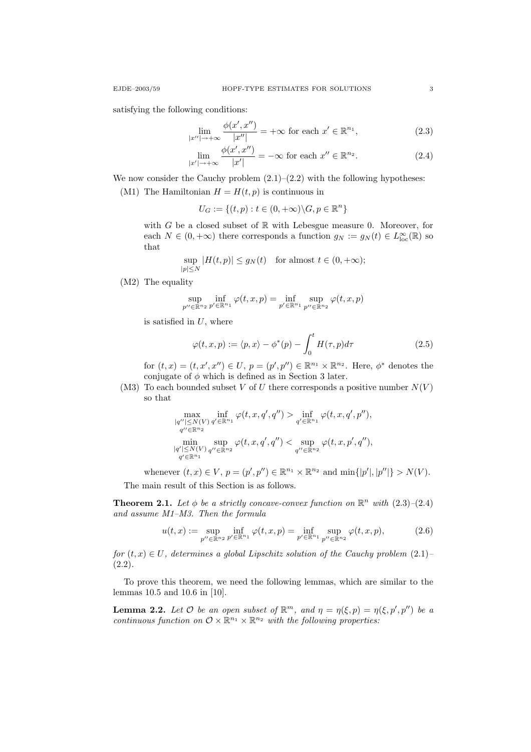satisfying the following conditions:

$$
\lim_{|x''|\to+\infty} \frac{\phi(x', x'')}{|x''|} = +\infty \text{ for each } x' \in \mathbb{R}^{n_1},\tag{2.3}
$$

$$
\lim_{|x'| \to +\infty} \frac{\phi(x', x'')}{|x'|} = -\infty \text{ for each } x'' \in \mathbb{R}^{n_2}.
$$
 (2.4)

We now consider the Cauchy problem  $(2.1)$ – $(2.2)$  with the following hypotheses:

(M1) The Hamiltonian  $H = H(t, p)$  is continuous in

$$
U_G := \{(t, p) : t \in (0, +\infty) \backslash G, p \in \mathbb{R}^n\}
$$

with G be a closed subset of  $\mathbb R$  with Lebesgue measure 0. Moreover, for each  $N \in (0, +\infty)$  there corresponds a function  $g_N := g_N(t) \in L^{\infty}_{loc}(\mathbb{R})$  so that

$$
\sup_{|p| \le N} |H(t, p)| \le g_N(t) \quad \text{for almost } t \in (0, +\infty);
$$

(M2) The equality

$$
\sup_{p''\in\mathbb{R}^{n_2}}\inf_{p'\in\mathbb{R}^{n_1}}\varphi(t,x,p)=\inf_{p'\in\mathbb{R}^{n_1}}\sup_{p''\in\mathbb{R}^{n_2}}\varphi(t,x,p)
$$

is satisfied in  $U$ , where

$$
\varphi(t, x, p) := \langle p, x \rangle - \phi^*(p) - \int_0^t H(\tau, p) d\tau \tag{2.5}
$$

for  $(t, x) = (t, x', x'') \in U$ ,  $p = (p', p'') \in \mathbb{R}^{n_1} \times \mathbb{R}^{n_2}$ . Here,  $\phi^*$  denotes the conjugate of  $\phi$  which is defined as in Section 3 later.

(M3) To each bounded subset V of U there corresponds a positive number  $N(V)$ so that

$$
\max_{\substack{|q''|\leq N(V) \\ q'\in \mathbb{R}^{n_1}\\ \min\{q'|\leq N(V) \\ q'\in \mathbb{R}^{n_1}}}\inf_{\varphi(t,x,q',q'')>\inf_{q'\in \mathbb{R}^{n_1}}\varphi(t,x,q',p''),\\ \min_{\substack{|q'|\leq N(V) \\ q''\in \mathbb{R}^{n_2}}}\sup_{q''\in \mathbb{R}^{n_2}}\varphi(t,x,p',q''),
$$

whenever  $(t, x) \in V$ ,  $p = (p', p'') \in \mathbb{R}^{n_1} \times \mathbb{R}^{n_2}$  and  $\min\{|p'|, |p''|\} > N(V)$ .

The main result of this Section is as follows.

**Theorem 2.1.** Let  $\phi$  be a strictly concave-convex function on  $\mathbb{R}^n$  with  $(2.3)$ - $(2.4)$ and assume M1–M3. Then the formula

$$
u(t,x) := \sup_{p'' \in \mathbb{R}^{n_2}} \inf_{p' \in \mathbb{R}^{n_1}} \varphi(t,x,p) = \inf_{p' \in \mathbb{R}^{n_1}} \sup_{p'' \in \mathbb{R}^{n_2}} \varphi(t,x,p),
$$
(2.6)

for  $(t, x) \in U$ , determines a global Lipschitz solution of the Cauchy problem  $(2.1)$  $(2.2).$ 

To prove this theorem, we need the following lemmas, which are similar to the lemmas 10.5 and 10.6 in [10].

**Lemma 2.2.** Let O be an open subset of  $\mathbb{R}^m$ , and  $\eta = \eta(\xi, p) = \eta(\xi, p', p'')$  be a continuous function on  $\mathcal{O} \times \mathbb{R}^{n_1} \times \mathbb{R}^{n_2}$  with the following properties: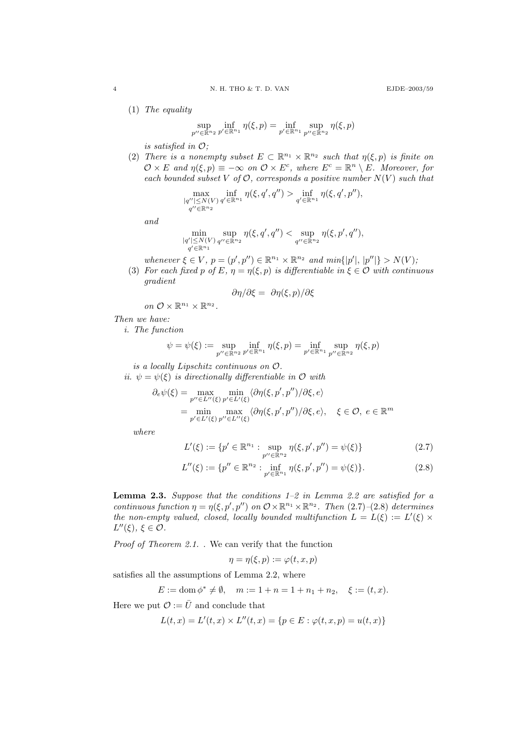(1) The equality

$$
\sup_{p'' \in \mathbb{R}^{n_2}} \inf_{p' \in \mathbb{R}^{n_1}} \eta(\xi, p) = \inf_{p' \in \mathbb{R}^{n_1}} \sup_{p'' \in \mathbb{R}^{n_2}} \eta(\xi, p)
$$

is satisfied in  $O$ ;

(2) There is a nonempty subset  $E \subset \mathbb{R}^{n_1} \times \mathbb{R}^{n_2}$  such that  $\eta(\xi, p)$  is finite on  $\mathcal{O} \times E$  and  $\eta(\xi, p) \equiv -\infty$  on  $\mathcal{O} \times E^c$ , where  $E^c = \mathbb{R}^n \setminus E$ . Moreover, for each bounded subset V of  $\mathcal{O}$ , corresponds a positive number  $N(V)$  such that

$$
\max_{\substack{|q''| \le N(V) \\ q'' \in \mathbb{R}^{n_2}}} \inf_{q(\xi, q', q'')} \eta(\xi, q', q'') > \inf_{q' \in \mathbb{R}^{n_1}} \eta(\xi, q', p''),
$$

and

$$
\min_{\substack{|q'|\leq N(V) \\ q'\in \mathbb{R}^{n_1}}} \sup_{q''\in \mathbb{R}^{n_2}} \eta(\xi, q', q'') < \sup_{q''\in \mathbb{R}^{n_2}} \eta(\xi, p', q''),
$$

whenever  $\xi \in V$ ,  $p = (p', p'') \in \mathbb{R}^{n_1} \times \mathbb{R}^{n_2}$  and  $min\{|p'|, |p''|\} > N(V)$ ;

(3) For each fixed p of E,  $\eta = \eta(\xi, p)$  is differentiable in  $\xi \in \mathcal{O}$  with continuous gradient

$$
\partial \eta / \partial \xi = \partial \eta(\xi, p) / \partial \xi
$$

on  $\mathcal{O} \times \mathbb{R}^{n_1} \times \mathbb{R}^{n_2}$ .

## Then we have:

i. The function

$$
\psi = \psi(\xi) := \sup_{p'' \in \mathbb{R}^{n_2}} \inf_{p' \in \mathbb{R}^{n_1}} \eta(\xi, p) = \inf_{p' \in \mathbb{R}^{n_1}} \sup_{p'' \in \mathbb{R}^{n_2}} \eta(\xi, p)
$$

is a locally Lipschitz continuous on O.

ii.  $\psi = \psi(\xi)$  is directionally differentiable in O with

$$
\partial_e \psi(\xi) = \max_{p'' \in L''(\xi)} \min_{p' \in L'(\xi)} \langle \partial \eta(\xi, p', p'') / \partial \xi, e \rangle
$$
  
= 
$$
\min_{p' \in L'(\xi)} \max_{p'' \in L''(\xi)} \langle \partial \eta(\xi, p', p'') / \partial \xi, e \rangle, \quad \xi \in \mathcal{O}, e \in \mathbb{R}^m
$$

where

$$
L'(\xi) := \{ p' \in \mathbb{R}^{n_1} : \sup_{p'' \in \mathbb{R}^{n_2}} \eta(\xi, p', p'') = \psi(\xi) \}
$$
 (2.7)

$$
L''(\xi) := \{ p'' \in \mathbb{R}^{n_2} : \inf_{p' \in \mathbb{R}^{n_1}} \eta(\xi, p', p'') = \psi(\xi) \}.
$$
 (2.8)

**Lemma 2.3.** Suppose that the conditions  $1-2$  in Lemma 2.2 are satisfied for a continuous function  $\eta = \eta(\xi, p', p'')$  on  $\mathcal{O} \times \mathbb{R}^{n_1} \times \mathbb{R}^{n_2}$ . Then (2.7)–(2.8) determines the non-empty valued, closed, locally bounded multifunction  $L = L(\xi) := L'(\xi) \times$  $L''(\xi), \xi \in \mathcal{O}.$ 

Proof of Theorem 2.1. We can verify that the function

$$
\eta = \eta(\xi, p) := \varphi(t, x, p)
$$

satisfies all the assumptions of Lemma 2.2, where

$$
E := \text{dom}\,\phi^* \neq \emptyset, \quad m := 1 + n = 1 + n_1 + n_2, \quad \xi := (t, x).
$$

Here we put  $\mathcal{O} := \bar{U}$  and conclude that

$$
L(t, x) = L'(t, x) \times L''(t, x) = \{ p \in E : \varphi(t, x, p) = u(t, x) \}
$$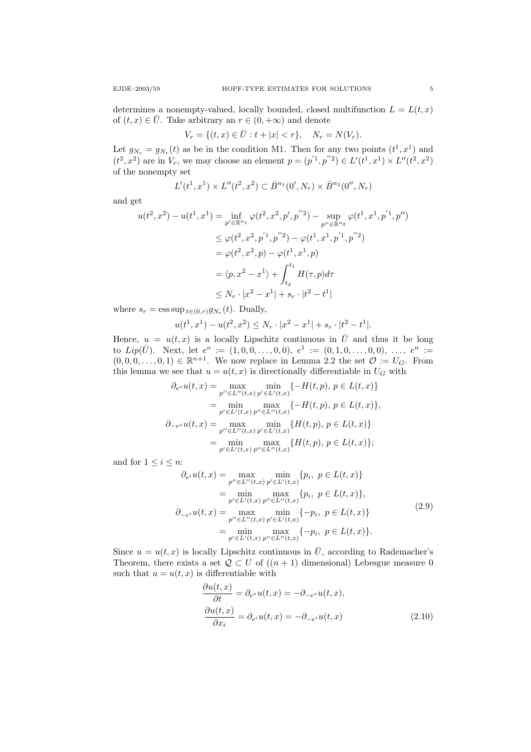determines a nonempty-valued, locally bounded, closed multifunction  $L = L(t, x)$ of  $(t, x) \in \overline{U}$ . Take arbitrary an  $r \in (0, +\infty)$  and denote

$$
V_r = \{(t, x) \in \bar{U} : t + |x| < r\}, \quad N_r = N(V_r).
$$

Let  $g_{N_r} = g_{N_r}(t)$  as be in the condition M1. Then for any two points  $(t^1, x^1)$  and  $(t^2, x^2)$  are in  $V_r$ , we may choose an element  $p = (p^{'1}, p^{''}{}^2) \in L'(t^1, x^1) \times L''(t^2, x^2)$ of the nonempty set

$$
L'(t^1, x^1) \times L''(t^2, x^2) \subset \bar{B}^{n_1}(0', N_r) \times \bar{B}^{n_2}(0'', N_r)
$$

and get

$$
u(t^2, x^2) - u(t^1, x^1) = \inf_{p' \in \mathbb{R}^{n_1}} \varphi(t^2, x^2, p', p''^2) - \sup_{p'' \in \mathbb{R}^{n_2}} \varphi(t^1, x^1, p'^1, p'')
$$
  
\n
$$
\leq \varphi(t^2, x^2, p'^1, p''^2) - \varphi(t^1, x^1, p'^1, p''^2)
$$
  
\n
$$
= \varphi(t^2, x^2, p) - \varphi(t^1, x^1, p)
$$
  
\n
$$
= \langle p, x^2 - x^1 \rangle + \int_{t_2}^{t_1} H(\tau, p) d\tau
$$
  
\n
$$
\leq N_r \cdot |x^2 - x^1| + s_r \cdot |t^2 - t^1|
$$

where  $s_r = \text{ess sup}_{t \in (0,r)} g_{N_r}(t)$ . Dually,

$$
u(t^1, x^1) - u(t^2, x^2) \le N_r \cdot |x^2 - x^1| + s_r \cdot |t^2 - t^1|.
$$

Hence,  $u = u(t, x)$  is a locally Lipschitz continuous in  $\overline{U}$  and thus it be long to  $Lip(\bar{U})$ . Next, let  $e^o := (1, 0, 0, \ldots, 0, 0), e^1 := (0, 1, 0, \ldots, 0, 0), \ldots, e^n :=$  $(0,0,0,\ldots,0,1) \in \mathbb{R}^{n+1}$ . We now replace in Lemma 2.2 the set  $\mathcal{O} := U_G$ . From this lemma we see that  $u = u(t, x)$  is directionally differentiable in  $U_G$  with

$$
\partial_{e^o} u(t, x) = \max_{p'' \in L''(t, x)} \min_{p' \in L'(t, x)} \{-H(t, p), p \in L(t, x)\}
$$
  
\n
$$
= \min_{p' \in L'(t, x)} \max_{p'' \in L''(t, x)} \{-H(t, p), p \in L(t, x)\},
$$
  
\n
$$
\partial_{-e^o} u(t, x) = \max_{p'' \in L''(t, x)} \min_{p' \in L'(t, x)} \{H(t, p), p \in L(t, x)\}
$$
  
\n
$$
= \min_{p' \in L'(t, x)} \max_{p'' \in L''(t, x)} \{H(t, p), p \in L(t, x)\};
$$

and for  $1 \leq i \leq n$ :

$$
\partial_{e^{i}} u(t, x) = \max_{p'' \in L''(t, x)} \min_{p' \in L'(t, x)} \{p_i, p \in L(t, x)\}
$$
  
\n
$$
= \min_{p' \in L'(t, x)} \max_{p'' \in L''(t, x)} \{p_i, p \in L(t, x)\},
$$
  
\n
$$
\partial_{-e^{i}} u(t, x) = \max_{p'' \in L''(t, x)} \min_{p' \in L'(t, x)} \{-p_i, p \in L(t, x)\}
$$
  
\n
$$
= \min_{p' \in L'(t, x)} \max_{p'' \in L''(t, x)} \{-p_i, p \in L(t, x)\}.
$$
\n(2.9)

Since  $u = u(t, x)$  is locally Lipschitz continuous in  $\overline{U}$ , according to Rademacher's Theorem, there exists a set  $Q \subset U$  of  $((n + 1)$  dimensional) Lebesgue measure 0 such that  $u = u(t, x)$  is differentiable with

$$
\frac{\partial u(t,x)}{\partial t} = \partial_{e^o} u(t,x) = -\partial_{-e^o} u(t,x),
$$
  
\n
$$
\frac{\partial u(t,x)}{\partial x_i} = \partial_{e^i} u(t,x) = -\partial_{-e^i} u(t,x)
$$
\n(2.10)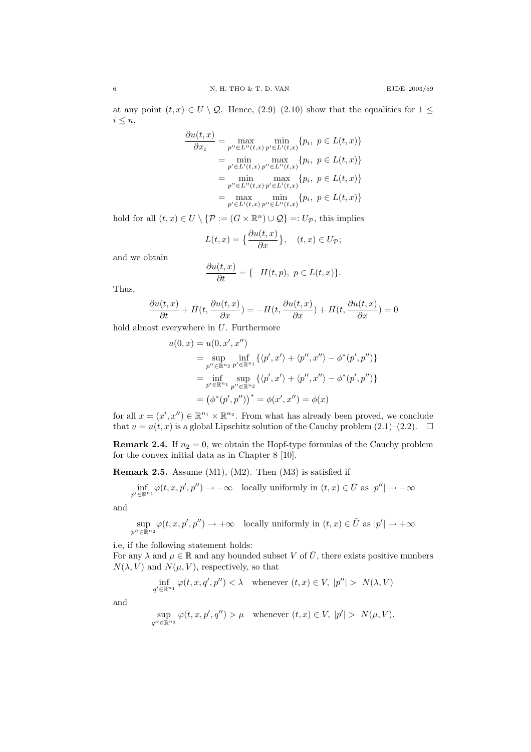at any point  $(t, x) \in U \setminus \mathcal{Q}$ . Hence,  $(2.9)-(2.10)$  show that the equalities for  $1 \leq$  $i \leq n$ ,

$$
\frac{\partial u(t,x)}{\partial x_i} = \max_{p'' \in L''(t,x)} \min_{p' \in L'(t,x)} \{p_i, \ p \in L(t,x)\}
$$

$$
= \min_{p' \in L'(t,x)} \max_{p'' \in L''(t,x)} \{p_i, \ p \in L(t,x)\}
$$

$$
= \min_{p'' \in L''(t,x)} \max_{p' \in L'(t,x)} \{p_i, \ p \in L(t,x)\}
$$

$$
= \max_{p' \in L'(t,x)} \min_{p'' \in L''(t,x)} \{p_i, \ p \in L(t,x)\}
$$

hold for all  $(t, x) \in U \setminus \{ \mathcal{P} := (G \times \mathbb{R}^n) \cup \mathcal{Q} \} =: U_{\mathcal{P}}$ , this implies

$$
L(t,x) = \left\{ \frac{\partial u(t,x)}{\partial x} \right\}, \quad (t,x) \in U_{\mathcal{P}};
$$

and we obtain

$$
\frac{\partial u(t,x)}{\partial t} = \{-H(t,p), \ p \in L(t,x)\}.
$$

Thus,

$$
\frac{\partial u(t,x)}{\partial t} + H(t,\frac{\partial u(t,x)}{\partial x}) = -H(t,\frac{\partial u(t,x)}{\partial x}) + H(t,\frac{\partial u(t,x)}{\partial x}) = 0
$$

hold almost everywhere in  $U$ . Furthermore

$$
u(0, x) = u(0, x', x'')
$$
  
=  $\sup_{p'' \in \mathbb{R}^{n_2}} \inf_{p' \in \mathbb{R}^{n_1}} \{ \langle p', x' \rangle + \langle p'', x'' \rangle - \phi^*(p', p'') \}$   
=  $\inf_{p' \in \mathbb{R}^{n_1}} \sup_{p'' \in \mathbb{R}^{n_2}} \{ \langle p', x' \rangle + \langle p'', x'' \rangle - \phi^*(p', p'') \}$   
=  $(\phi^*(p', p''))^* = \phi(x', x'') = \phi(x)$ 

for all  $x = (x', x'') \in \mathbb{R}^{n_1} \times \mathbb{R}^{n_2}$ . From what has already been proved, we conclude that  $u = u(t, x)$  is a global Lipschitz solution of the Cauchy problem  $(2.1)$ – $(2.2)$ .  $\Box$ 

**Remark 2.4.** If  $n_2 = 0$ , we obtain the Hopf-type formulas of the Cauchy problem for the convex initial data as in Chapter 8 [10].

**Remark 2.5.** Assume  $(M1)$ ,  $(M2)$ . Then  $(M3)$  is satisfied if

$$
\inf_{p' \in \mathbb{R}^{n_1}} \varphi(t, x, p', p'') \to -\infty \quad \text{locally uniformly in } (t, x) \in \bar{U} \text{ as } |p''| \to +\infty
$$

and

$$
\sup_{p'' \in \mathbb{R}^{n_2}} \varphi(t, x, p', p'') \to +\infty \quad \text{locally uniformly in } (t, x) \in \bar{U} \text{ as } |p'| \to +\infty
$$

i.e, if the following statement holds:

For any  $\lambda$  and  $\mu \in \mathbb{R}$  and any bounded subset V of  $\overline{U}$ , there exists positive numbers  $N(\lambda, V)$  and  $N(\mu, V)$ , respectively, so that

$$
\inf_{q' \in \mathbb{R}^{n_1}} \varphi(t, x, q', p'') < \lambda \quad \text{whenever } (t, x) \in V, \ |p''| > N(\lambda, V)
$$

and

$$
\sup_{q'' \in \mathbb{R}^{n_2}} \varphi(t, x, p', q'') > \mu \quad \text{whenever} \ (t, x) \in V, \ |p'| > N(\mu, V).
$$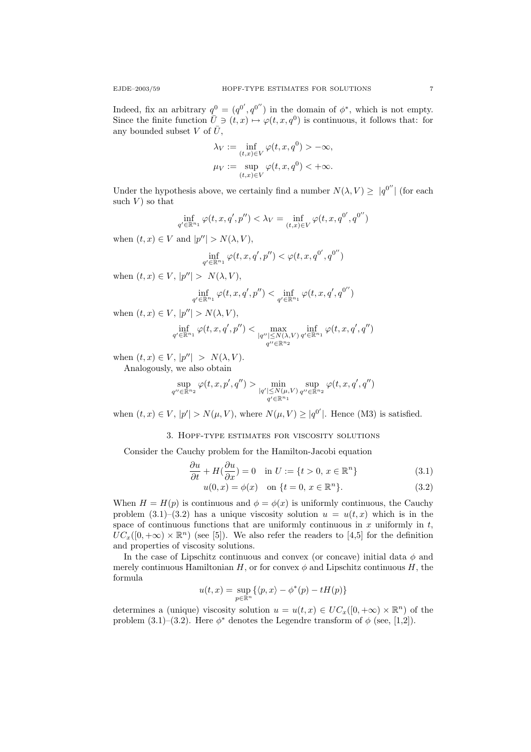Indeed, fix an arbitrary  $q^0 = (q^{0'}, q^{0''})$  in the domain of  $\phi^*$ , which is not empty. Since the finite function  $\bar{U} \ni (t, x) \mapsto \varphi(t, x, q^0)$  is continuous, it follows that: for any bounded subset V of  $\overline{U}$ ,

$$
\lambda_V := \inf_{(t,x)\in V} \varphi(t, x, q^0) > -\infty,
$$
  

$$
\mu_V := \sup_{(t,x)\in V} \varphi(t, x, q^0) < +\infty.
$$

Under the hypothesis above, we certainly find a number  $N(\lambda, V) \geq |q^{0''}|$  (for each such  $V$ ) so that

$$
\inf_{q' \in \mathbb{R}^{n_1}} \varphi(t, x, q', p'') < \lambda_V = \inf_{(t, x) \in V} \varphi(t, x, q^{0'}, q^{0''})
$$

when  $(t, x) \in V$  and  $|p''| > N(\lambda, V)$ ,

$$
\inf_{q'\in\mathbb{R}^{n_1}}\varphi(t,x,q',p'')<\varphi(t,x,q^{0'},q^{0''})
$$

when  $(t, x) \in V$ ,  $|p''| > N(\lambda, V)$ ,

$$
\inf_{q' \in \mathbb{R}^{n_1}} \varphi(t, x, q', p'') < \inf_{q' \in \mathbb{R}^{n_1}} \varphi(t, x, q', q^{0''})
$$

when  $(t, x) \in V$ ,  $|p''| > N(\lambda, V)$ ,

$$
\inf_{q'\in\mathbb{R}^{n_1}}\varphi(t,x,q',p'')<\max_{|q''|\leq N(\lambda,V)}\inf_{q'\in\mathbb{R}^{n_1}}\varphi(t,x,q',q'')
$$

when  $(t, x) \in V$ ,  $|p''| > N(\lambda, V)$ .

Analogously, we also obtain

$$
\sup_{q'' \in \mathbb{R}^{n_2}} \varphi(t, x, p', q'') > \min_{|q'| \le N(\mu, V)} \sup_{q'' \in \mathbb{R}^{n_2}} \varphi(t, x, q', q'')
$$

when  $(t, x) \in V$ ,  $|p'| > N(\mu, V)$ , where  $N(\mu, V) \geq |q^{0'}|$ . Hence (M3) is satisfied.

## 3. Hopf-type estimates for viscosity solutions

Consider the Cauchy problem for the Hamilton-Jacobi equation

$$
\frac{\partial u}{\partial t} + H(\frac{\partial u}{\partial x}) = 0 \quad \text{in } U := \{t > 0, x \in \mathbb{R}^n\}
$$
\n(3.1)

$$
u(0, x) = \phi(x) \quad \text{on } \{t = 0, \, x \in \mathbb{R}^n\}. \tag{3.2}
$$

When  $H = H(p)$  is continuous and  $\phi = \phi(x)$  is uniformly continuous, the Cauchy problem (3.1)–(3.2) has a unique viscosity solution  $u = u(t, x)$  which is in the space of continuous functions that are uniformly continuous in  $x$  uniformly in  $t$ ,  $UC_x([0, +\infty) \times \mathbb{R}^n)$  (see [5]). We also refer the readers to [4,5] for the definition and properties of viscosity solutions.

In the case of Lipschitz continuous and convex (or concave) initial data  $\phi$  and merely continuous Hamiltonian H, or for convex  $\phi$  and Lipschitz continuous H, the formula

$$
u(t,x)=\sup_{p\in\mathbb{R}^n}\{\langle p,x\rangle-\phi^*(p)-tH(p)\}
$$

determines a (unique) viscosity solution  $u = u(t, x) \in UC_x([0, +\infty) \times \mathbb{R}^n)$  of the problem (3.1)–(3.2). Here  $\phi^*$  denotes the Legendre transform of  $\phi$  (see, [1,2]).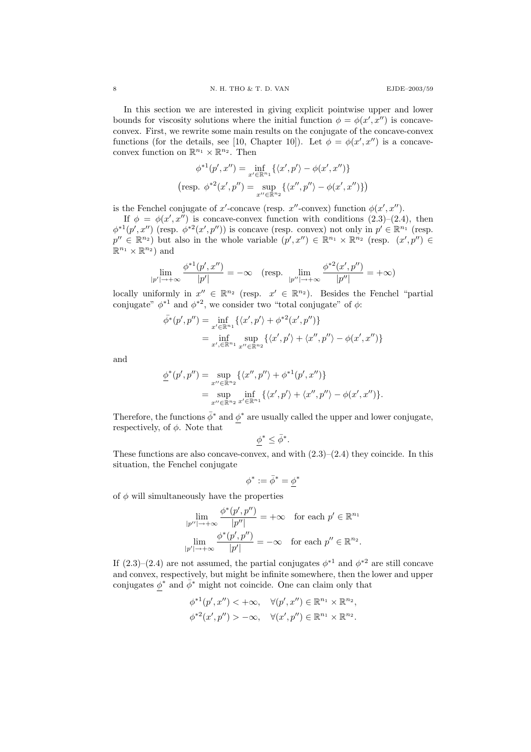In this section we are interested in giving explicit pointwise upper and lower bounds for viscosity solutions where the initial function  $\phi = \phi(x', x'')$  is concaveconvex. First, we rewrite some main results on the conjugate of the concave-convex functions (for the details, see [10, Chapter 10]). Let  $\phi = \phi(x', x'')$  is a concaveconvex function on  $\mathbb{R}^{n_1} \times \mathbb{R}^{n_2}$ . Then

$$
\phi^{*1}(p', x'') = \inf_{x' \in \mathbb{R}^{n_1}} \{ \langle x', p' \rangle - \phi(x', x'') \}
$$
  
(resp. 
$$
\phi^{*2}(x', p'') = \sup_{x'' \in \mathbb{R}^{n_2}} \{ \langle x'', p'' \rangle - \phi(x', x'') \} )
$$

is the Fenchel conjugate of x'-concave (resp. x''-convex) function  $\phi(x', x'')$ .

If  $\phi = \phi(x', x'')$  is concave-convex function with conditions  $(2.3)$ – $(2.4)$ , then  $\phi^{*1}(p', x'')$  (resp.  $\phi^{*2}(x', p'')$ ) is concave (resp. convex) not only in  $p' \in \mathbb{R}^{n_1}$  (resp.  $p'' \in \mathbb{R}^{n_2}$  but also in the whole variable  $(p', x'') \in \mathbb{R}^{n_1} \times \mathbb{R}^{n_2}$  (resp.  $(x', p'') \in$  $\mathbb{R}^{n_1} \times \mathbb{R}^{n_2}$  and

$$
\lim_{|p'| \to +\infty} \frac{\phi^{*1}(p', x'')}{|p'|} = -\infty \quad (\text{resp. } \lim_{|p''| \to +\infty} \frac{\phi^{*2}(x', p'')}{|p''|} = +\infty)
$$

locally uniformly in  $x'' \in \mathbb{R}^{n_2}$  (resp.  $x' \in \mathbb{R}^{n_2}$ ). Besides the Fenchel "partial conjugate"  $\phi^{*1}$  and  $\phi^{*2}$ , we consider two "total conjugate" of  $\phi$ :

$$
\bar{\phi}^*(p', p'') = \inf_{x' \in \mathbb{R}^{n_1}} \{ \langle x', p' \rangle + \phi^{*2}(x', p'') \}
$$
  
= 
$$
\inf_{x', \in \mathbb{R}^{n_1}} \sup_{x'' \in \mathbb{R}^{n_2}} \{ \langle x', p' \rangle + \langle x'', p'' \rangle - \phi(x', x'') \}
$$

and

$$
\underline{\phi}^*(p', p'') = \sup_{x'' \in \mathbb{R}^{n_2}} \{ \langle x'', p'' \rangle + \phi^{*1}(p', x'') \}
$$
  
= 
$$
\sup_{x'' \in \mathbb{R}^{n_2}} \inf_{x' \in \mathbb{R}^{n_1}} \{ \langle x', p' \rangle + \langle x'', p'' \rangle - \phi(x', x'') \}.
$$

Therefore, the functions  $\bar{\phi}^*$  and  $\phi^*$  are usually called the upper and lower conjugate, respectively, of  $\phi$ . Note that

$$
\phi^*\leq \bar{\phi}^*.
$$

These functions are also concave-convex, and with  $(2.3)$ – $(2.4)$  they coincide. In this situation, the Fenchel conjugate

$$
\phi^*:=\bar{\phi}^*=\underline{\phi}^*
$$

of  $\phi$  will simultaneously have the properties

$$
\lim_{|p''|\to+\infty}\frac{\phi^*(p',p'')}{|p''|} = +\infty \quad \text{for each } p' \in \mathbb{R}^{n_1}
$$

$$
\lim_{|p'|\to+\infty}\frac{\phi^*(p',p'')}{|p'|} = -\infty \quad \text{for each } p'' \in \mathbb{R}^{n_2}.
$$

If  $(2.3)$ – $(2.4)$  are not assumed, the partial conjugates  $\phi^{*1}$  and  $\phi^{*2}$  are still concave and convex, respectively, but might be infinite somewhere, then the lower and upper conjugates  $\phi^*$  and  $\bar{\phi}^*$  might not coincide. One can claim only that

$$
\begin{aligned}\n\phi^{*1}(p', x'') &< +\infty, \quad \forall (p', x'') \in \mathbb{R}^{n_1} \times \mathbb{R}^{n_2}, \\
\phi^{*2}(x', p'') &> -\infty, \quad \forall (x', p'') \in \mathbb{R}^{n_1} \times \mathbb{R}^{n_2}.\n\end{aligned}
$$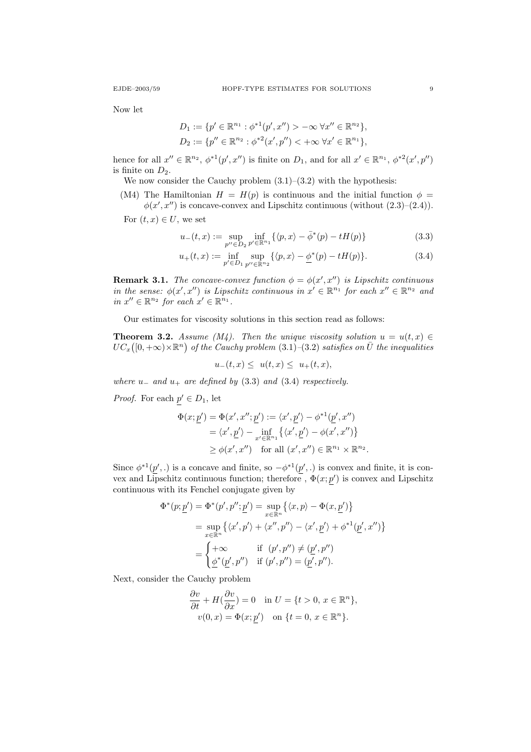Now let

$$
D_1 := \{ p' \in \mathbb{R}^{n_1} : \phi^{*1}(p', x'') > -\infty \ \forall x'' \in \mathbb{R}^{n_2} \},
$$
  

$$
D_2 := \{ p'' \in \mathbb{R}^{n_2} : \phi^{*2}(x', p'') < +\infty \ \forall x' \in \mathbb{R}^{n_1} \},
$$

hence for all  $x'' \in \mathbb{R}^{n_2}$ ,  $\phi^{*1}(p', x'')$  is finite on  $D_1$ , and for all  $x' \in \mathbb{R}^{n_1}$ ,  $\phi^{*2}(x', p'')$ is finite on  $D_2$ .

We now consider the Cauchy problem  $(3.1)$ – $(3.2)$  with the hypothesis:

(M4) The Hamiltonian  $H = H(p)$  is continuous and the initial function  $\phi =$  $\phi(x',x'')$  is concave-convex and Lipschitz continuous (without  $(2.3)$ – $(2.4)$ ).

For  $(t, x) \in U$ , we set

$$
u_{-}(t,x) := \sup_{p'' \in D_2} \inf_{p' \in \mathbb{R}^{n_1}} \{ \langle p, x \rangle - \bar{\phi}^*(p) - tH(p) \}
$$
(3.3)

$$
u_{+}(t,x) := \inf_{p' \in D_1} \sup_{p'' \in \mathbb{R}^{n_2}} \{ \langle p, x \rangle - \underline{\phi}^*(p) - tH(p) \}. \tag{3.4}
$$

**Remark 3.1.** The concave-convex function  $\phi = \phi(x', x'')$  is Lipschitz continuous in the sense:  $\phi(x', x'')$  is Lipschitz continuous in  $x' \in \mathbb{R}^{n_1}$  for each  $x'' \in \mathbb{R}^{n_2}$  and in  $x'' \in \mathbb{R}^{n_2}$  for each  $x' \in \mathbb{R}^{n_1}$ .

Our estimates for viscosity solutions in this section read as follows:

**Theorem 3.2.** Assume (M4). Then the unique viscosity solution  $u = u(t, x) \in$  $UC_x([0,+\infty)\times\mathbb{R}^n)$  of the Cauchy problem  $(3.1)$ – $(3.2)$  satisfies on  $\bar{U}$  the inequalities

$$
u_{-}(t,x) \leq u(t,x) \leq u_{+}(t,x),
$$

where  $u_-\,$  and  $u_+\,$  are defined by (3.3) and (3.4) respectively.

*Proof.* For each  $p' \in D_1$ , let

$$
\Phi(x; \underline{p}') = \Phi(x', x''; \underline{p}') := \langle x', \underline{p}' \rangle - \phi^{*1}(\underline{p}', x'')
$$
  
=  $\langle x', \underline{p}' \rangle - \inf_{x' \in \mathbb{R}^{n_1}} \{ \langle x', \underline{p}' \rangle - \phi(x', x'') \}$   
 $\geq \phi(x', x'')$  for all  $(x', x'') \in \mathbb{R}^{n_1} \times \mathbb{R}^{n_2}$ .

Since  $\phi^{*1}(p',.)$  is a concave and finite, so  $-\phi^{*1}(p',.)$  is convex and finite, it is convex and Lipschitz continuous function; therefore,  $\Phi(x; p')$  is convex and Lipschitz continuous with its Fenchel conjugate given by

$$
\Phi^*(p; \underline{p}') = \Phi^*(p', p''; \underline{p}') = \sup_{x \in \mathbb{R}^n} \{ \langle x, p \rangle - \Phi(x, \underline{p}') \}
$$
  

$$
= \sup_{x \in \mathbb{R}^n} \{ \langle x', p' \rangle + \langle x'', p'' \rangle - \langle x', \underline{p}' \rangle + \phi^{*1}(\underline{p}', x'') \}
$$
  

$$
= \begin{cases} +\infty & \text{if } (p', p'') \neq (\underline{p}', p'') \\ \phi^*(p', p'') & \text{if } (p', p'') = (p', p''). \end{cases}
$$

Next, consider the Cauchy problem

$$
\frac{\partial v}{\partial t} + H(\frac{\partial v}{\partial x}) = 0 \quad \text{in } U = \{t > 0, x \in \mathbb{R}^n\},
$$
  

$$
v(0, x) = \Phi(x; \underline{p}') \quad \text{on } \{t = 0, x \in \mathbb{R}^n\}.
$$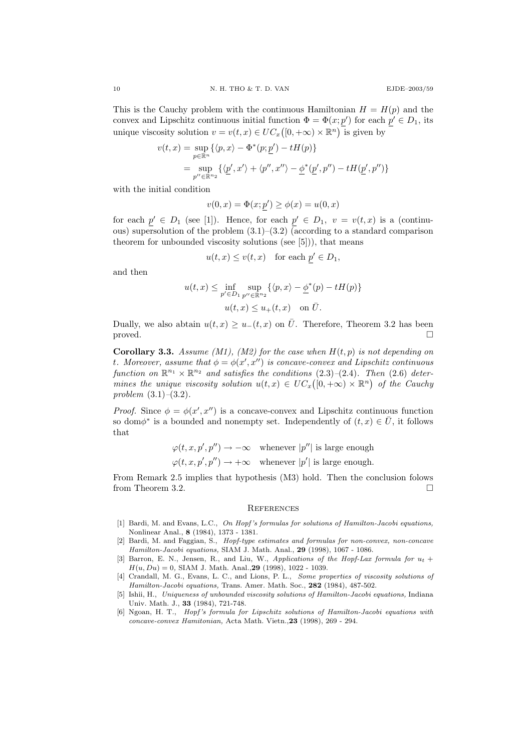This is the Cauchy problem with the continuous Hamiltonian  $H = H(p)$  and the convex and Lipschitz continuous initial function  $\Phi = \Phi(x; p')$  for each  $p' \in D_1$ , its unique viscosity solution  $v = v(t, x) \in UC_x([0, +\infty) \times \mathbb{R}^n)$  is given by

$$
v(t,x) = \sup_{p \in \mathbb{R}^n} \{ \langle p, x \rangle - \Phi^*(p; \underline{p}') - tH(p) \}
$$
  
= 
$$
\sup_{p'' \in \mathbb{R}^n} \{ \langle \underline{p}', x' \rangle + \langle p'', x'' \rangle - \underline{\phi}^*(\underline{p}', p'') - tH(\underline{p}', p'') \}
$$

with the initial condition

$$
v(0, x) = \Phi(x; p') \ge \phi(x) = u(0, x)
$$

for each  $p' \in D_1$  (see [1]). Hence, for each  $p' \in D_1$ ,  $v = v(t, x)$  is a (continuous) supersolution of the problem  $(3.1)$ – $(3.2)$  (according to a standard comparison theorem for unbounded viscosity solutions (see [5])), that means

$$
u(t, x) \le v(t, x)
$$
 for each  $p' \in D_1$ ,

and then

$$
u(t,x) \le \inf_{p' \in D_1} \sup_{p'' \in \mathbb{R}^{n_2}} \{ \langle p, x \rangle - \underline{\phi}^*(p) - tH(p) \}
$$
  

$$
u(t,x) \le u_+(t,x) \quad \text{on } \bar{U}.
$$

Dually, we also abtain  $u(t, x) \geq u_-(t, x)$  on  $\overline{U}$ . Therefore, Theorem 3.2 has been proved.

**Corollary 3.3.** Assume (M1), (M2) for the case when  $H(t, p)$  is not depending on t. Moreover, assume that  $\phi = \phi(x', x'')$  is concave-convex and Lipschitz continuous function on  $\mathbb{R}^{n_1} \times \mathbb{R}^{n_2}$  and satisfies the conditions (2.3)–(2.4). Then (2.6) determines the unique viscosity solution  $u(t,x) \in UC_x([0,+\infty) \times \mathbb{R}^n)$  of the Cauchy problem  $(3.1)$ – $(3.2)$ .

*Proof.* Since  $\phi = \phi(x', x'')$  is a concave-convex and Lipschitz continuous function so dom $\phi^*$  is a bounded and nonempty set. Independently of  $(t, x) \in \overline{U}$ , it follows that

$$
\varphi(t, x, p', p'') \to -\infty \quad \text{whenever } |p''| \text{ is large enough}
$$
  

$$
\varphi(t, x, p', p'') \to +\infty \quad \text{whenever } |p'| \text{ is large enough.}
$$

From Remark 2.5 implies that hypothesis (M3) hold. Then the conclusion folows from Theorem 3.2.

#### **REFERENCES**

- [1] Bardi, M. and Evans, L.C., On Hopf's formulas for solutions of Hamilton-Jacobi equations, Nonlinear Anal., 8 (1984), 1373 - 1381.
- [2] Bardi, M. and Faggian, S., Hopf-type estimates and formulas for non-convex, non-concave Hamilton-Jacobi equations, SIAM J. Math. Anal., 29 (1998), 1067 - 1086.
- [3] Barron, E. N., Jensen, R., and Liu, W., Applications of the Hopf-Lax formula for  $u_t$  +  $H(u, Du) = 0$ , SIAM J. Math. Anal., 29 (1998), 1022 - 1039.
- [4] Crandall, M. G., Evans, L. C., and Lions, P. L., Some properties of viscosity solutions of Hamilton-Jacobi equations, Trans. Amer. Math. Soc., 282 (1984), 487-502.
- [5] Ishii, H., Uniqueness of unbounded viscosity solutions of Hamilton-Jacobi equations, Indiana Univ. Math. J., 33 (1984), 721-748.
- [6] Ngoan, H. T., Hopf's formula for Lipschitz solutions of Hamilton-Jacobi equations with concave-convex Hamitonian, Acta Math. Vietn.,23 (1998), 269 - 294.